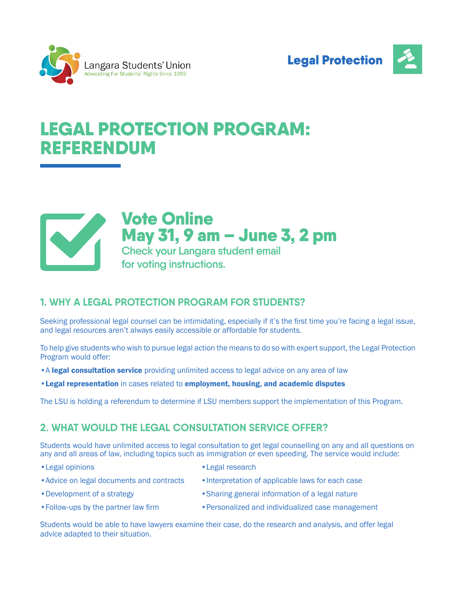



# LEGAL PROTECTION PROGRAM: REFERENDUM



Vote Online May 31, 9 am – June 3, 2 pm **Check your Langara student email** 

**for voting instructions.**

# **1. WHY A LEGAL PROTECTION PROGRAM FOR STUDENTS?**

Seeking professional legal counsel can be intimidating, especially if it's the first time you're facing a legal issue, and legal resources aren't always easily accessible or affordable for students.

To help give students who wish to pursue legal action the means to do so with expert support, the Legal Protection Program would offer:

- A legal consultation service providing unlimited access to legal advice on any area of law
- •Legal representation in cases related to employment, housing, and academic disputes

The LSU is holding a referendum to determine if LSU members support the implementation of this Program.

# **2. WHAT WOULD THE LEGAL CONSULTATION SERVICE OFFER?**

Students would have unlimited access to legal consultation to get legal counselling on any and all questions on any and all areas of law, including topics such as immigration or even speeding. The service would include:

- •Legal opinions •Legal research
- 
- Advice on legal documents and contracts •Interpretation of applicable laws for each case
- 
- 
- 
- •Development of a strategy **•Sharing general information of a legal nature**
- Follow-ups by the partner law firm • Personalized and individualized case management

Students would be able to have lawyers examine their case, do the research and analysis, and offer legal advice adapted to their situation.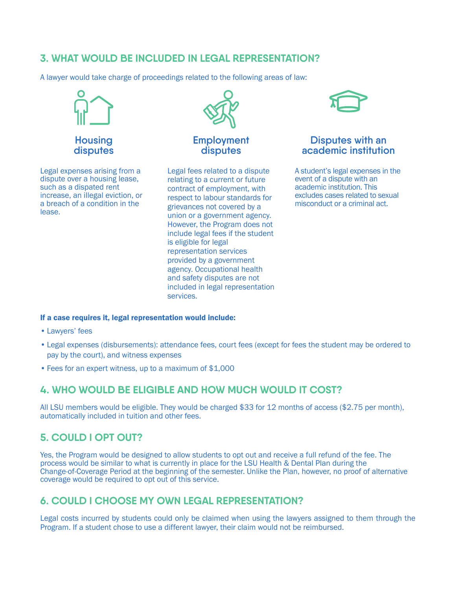# **3. WHAT WOULD BE INCLUDED IN LEGAL REPRESENTATION?**

A lawyer would take charge of proceedings related to the following areas of law:



**Housing disputes**

Legal expenses arising from a dispute over a housing lease, such as a dispated rent increase, an illegal eviction, or a breach of a condition in the lease.



#### **Employment disputes**

Legal fees related to a dispute relating to a current or future contract of employment, with respect to labour standards for grievances not covered by a union or a government agency. However, the Program does not include legal fees if the student is eligible for legal representation services provided by a government agency. Occupational health and safety disputes are not included in legal representation services.



#### **Disputes with an academic institution**

A student's legal expenses in the event of a dispute with an academic institution. This excludes cases related to sexual misconduct or a criminal act.

#### If a case requires it, legal representation would include:

- Lawyers' fees
- Legal expenses (disbursements): attendance fees, court fees (except for fees the student may be ordered to pay by the court), and witness expenses
- Fees for an expert witness, up to a maximum of \$1,000

### **4. WHO WOULD BE ELIGIBLE AND HOW MUCH WOULD IT COST?**

All LSU members would be eligible. They would be charged \$33 for 12 months of access (\$2.75 per month), automatically included in tuition and other fees.

# **5. COULD I OPT OUT?**

Yes, the Program would be designed to allow students to opt out and receive a full refund of the fee. The process would be similar to what is currently in place for the LSU Health & Dental Plan during the Change-of-Coverage Period at the beginning of the semester. Unlike the Plan, however, no proof of alternative coverage would be required to opt out of this service.

# **6. COULD I CHOOSE MY OWN LEGAL REPRESENTATION?**

Legal costs incurred by students could only be claimed when using the lawyers assigned to them through the Program. If a student chose to use a different lawyer, their claim would not be reimbursed.